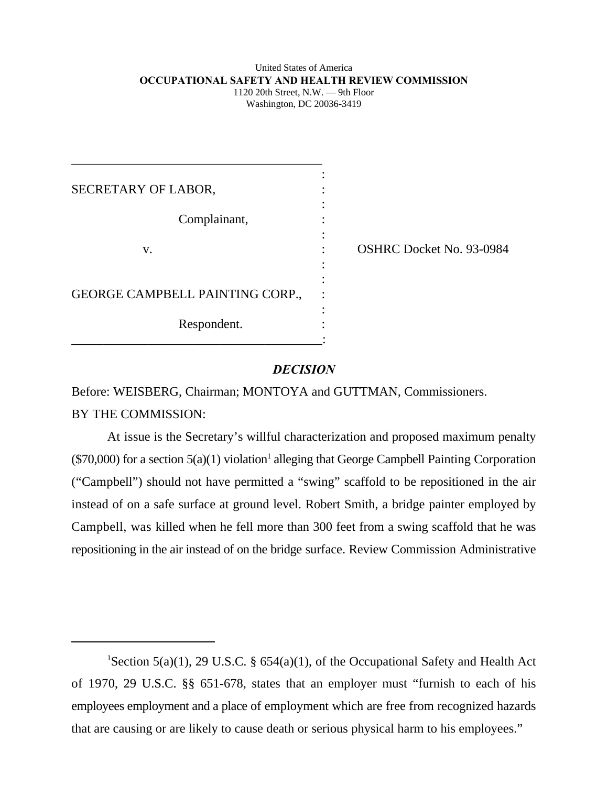#### United States of America **OCCUPATIONAL SAFETY AND HEALTH REVIEW COMMISSION** 1120 20th Street, N.W. — 9th Floor Washington, DC 20036-3419

| SECRETARY OF LABOR,             |                          |
|---------------------------------|--------------------------|
| Complainant,                    |                          |
| V.                              | OSHRC Docket No. 93-0984 |
| GEORGE CAMPBELL PAINTING CORP., |                          |
| Respondent.                     |                          |

# *DECISION*

Before: WEISBERG, Chairman; MONTOYA and GUTTMAN, Commissioners. BY THE COMMISSION:

At issue is the Secretary's willful characterization and proposed maximum penalty  $(\$70,000)$  for a section  $5(a)(1)$  violation<sup>1</sup> alleging that George Campbell Painting Corporation ("Campbell") should not have permitted a "swing" scaffold to be repositioned in the air instead of on a safe surface at ground level. Robert Smith, a bridge painter employed by Campbell, was killed when he fell more than 300 feet from a swing scaffold that he was repositioning in the air instead of on the bridge surface. Review Commission Administrative

<sup>&</sup>lt;sup>1</sup>Section 5(a)(1), 29 U.S.C. § 654(a)(1), of the Occupational Safety and Health Act of 1970, 29 U.S.C. §§ 651-678, states that an employer must "furnish to each of his employees employment and a place of employment which are free from recognized hazards that are causing or are likely to cause death or serious physical harm to his employees."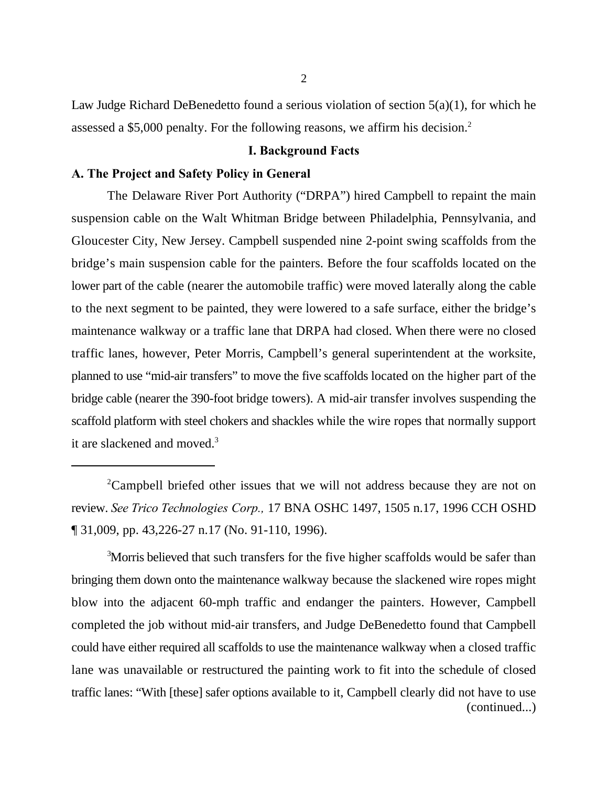Law Judge Richard DeBenedetto found a serious violation of section 5(a)(1), for which he assessed a \$5,000 penalty. For the following reasons, we affirm his decision.<sup>2</sup>

# **I. Background Facts**

### **A. The Project and Safety Policy in General**

The Delaware River Port Authority ("DRPA") hired Campbell to repaint the main suspension cable on the Walt Whitman Bridge between Philadelphia, Pennsylvania, and Gloucester City, New Jersey. Campbell suspended nine 2-point swing scaffolds from the bridge's main suspension cable for the painters. Before the four scaffolds located on the lower part of the cable (nearer the automobile traffic) were moved laterally along the cable to the next segment to be painted, they were lowered to a safe surface, either the bridge's maintenance walkway or a traffic lane that DRPA had closed. When there were no closed traffic lanes, however, Peter Morris, Campbell's general superintendent at the worksite, planned to use "mid-air transfers" to move the five scaffolds located on the higher part of the bridge cable (nearer the 390-foot bridge towers). A mid-air transfer involves suspending the scaffold platform with steel chokers and shackles while the wire ropes that normally support it are slackened and moved.<sup>3</sup>

 ${}^{2}$ Campbell briefed other issues that we will not address because they are not on review. *See Trico Technologies Corp.,* 17 BNA OSHC 1497, 1505 n.17, 1996 CCH OSHD ¶ 31,009, pp. 43,226-27 n.17 (No. 91-110, 1996).

<sup>3</sup>Morris believed that such transfers for the five higher scaffolds would be safer than bringing them down onto the maintenance walkway because the slackened wire ropes might blow into the adjacent 60-mph traffic and endanger the painters. However, Campbell completed the job without mid-air transfers, and Judge DeBenedetto found that Campbell could have either required all scaffolds to use the maintenance walkway when a closed traffic lane was unavailable or restructured the painting work to fit into the schedule of closed traffic lanes: "With [these] safer options available to it, Campbell clearly did not have to use (continued...)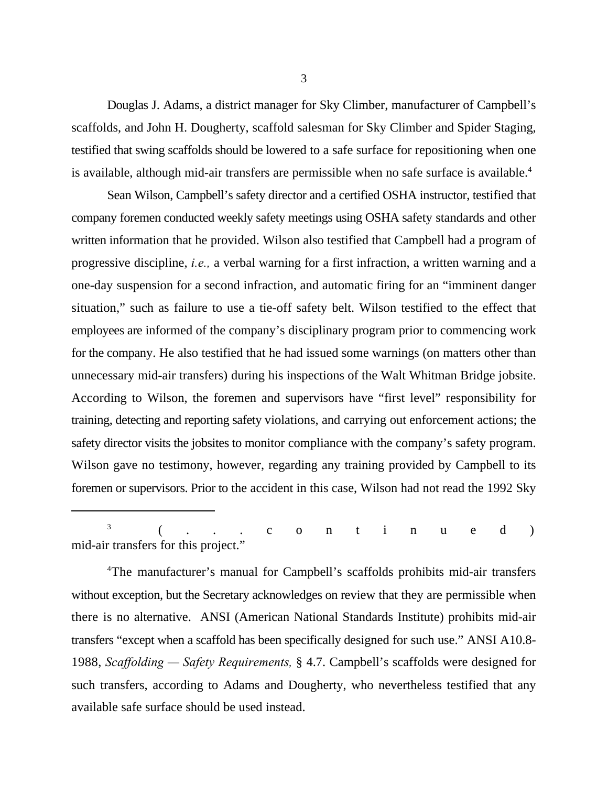Douglas J. Adams, a district manager for Sky Climber, manufacturer of Campbell's scaffolds, and John H. Dougherty, scaffold salesman for Sky Climber and Spider Staging, testified that swing scaffolds should be lowered to a safe surface for repositioning when one is available, although mid-air transfers are permissible when no safe surface is available.<sup>4</sup>

Sean Wilson, Campbell's safety director and a certified OSHA instructor, testified that company foremen conducted weekly safety meetings using OSHA safety standards and other written information that he provided. Wilson also testified that Campbell had a program of progressive discipline, *i.e.,* a verbal warning for a first infraction, a written warning and a one-day suspension for a second infraction, and automatic firing for an "imminent danger situation," such as failure to use a tie-off safety belt. Wilson testified to the effect that employees are informed of the company's disciplinary program prior to commencing work for the company. He also testified that he had issued some warnings (on matters other than unnecessary mid-air transfers) during his inspections of the Walt Whitman Bridge jobsite. According to Wilson, the foremen and supervisors have "first level" responsibility for training, detecting and reporting safety violations, and carrying out enforcement actions; the safety director visits the jobsites to monitor compliance with the company's safety program. Wilson gave no testimony, however, regarding any training provided by Campbell to its foremen or supervisors. Prior to the accident in this case, Wilson had not read the 1992 Sky

(...continued ) 3 mid-air transfers for this project."

<sup>4</sup>The manufacturer's manual for Campbell's scaffolds prohibits mid-air transfers without exception, but the Secretary acknowledges on review that they are permissible when there is no alternative. ANSI (American National Standards Institute) prohibits mid-air transfers "except when a scaffold has been specifically designed for such use." ANSI A10.8- 1988, *Scaffolding — Safety Requirements,* § 4.7. Campbell's scaffolds were designed for such transfers, according to Adams and Dougherty, who nevertheless testified that any available safe surface should be used instead.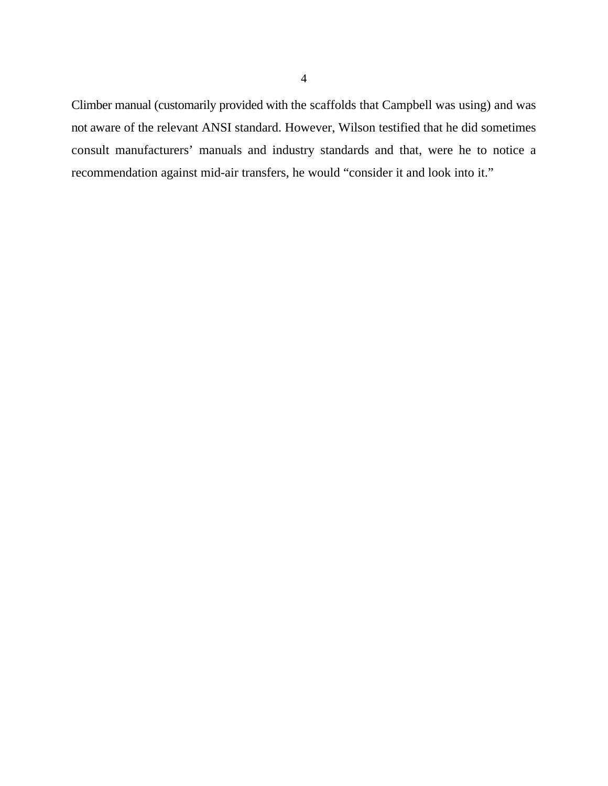Climber manual (customarily provided with the scaffolds that Campbell was using) and was not aware of the relevant ANSI standard. However, Wilson testified that he did sometimes consult manufacturers' manuals and industry standards and that, were he to notice a recommendation against mid-air transfers, he would "consider it and look into it."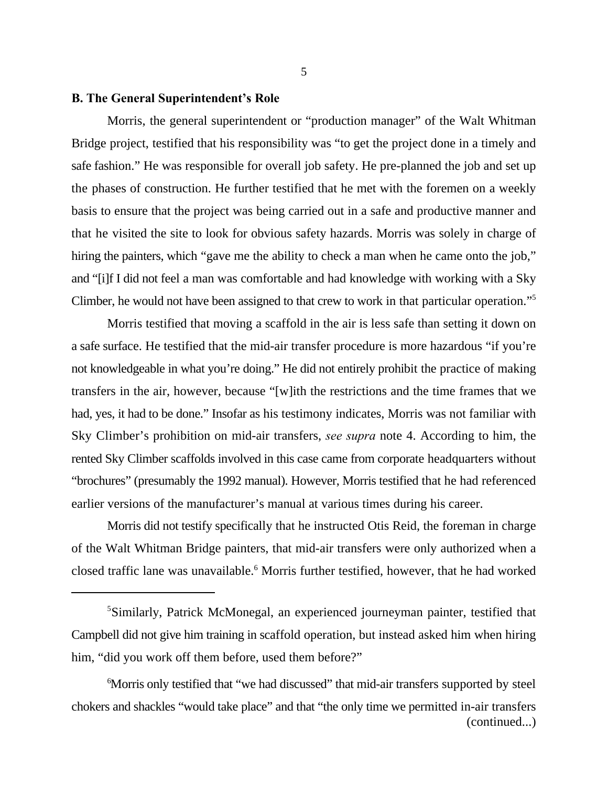# **B. The General Superintendent's Role**

Morris, the general superintendent or "production manager" of the Walt Whitman Bridge project, testified that his responsibility was "to get the project done in a timely and safe fashion." He was responsible for overall job safety. He pre-planned the job and set up the phases of construction. He further testified that he met with the foremen on a weekly basis to ensure that the project was being carried out in a safe and productive manner and that he visited the site to look for obvious safety hazards. Morris was solely in charge of hiring the painters, which "gave me the ability to check a man when he came onto the job," and "[i]f I did not feel a man was comfortable and had knowledge with working with a Sky Climber, he would not have been assigned to that crew to work in that particular operation."<sup>5</sup>

Morris testified that moving a scaffold in the air is less safe than setting it down on a safe surface. He testified that the mid-air transfer procedure is more hazardous "if you're not knowledgeable in what you're doing." He did not entirely prohibit the practice of making transfers in the air, however, because "[w]ith the restrictions and the time frames that we had, yes, it had to be done." Insofar as his testimony indicates, Morris was not familiar with Sky Climber's prohibition on mid-air transfers, *see supra* note 4. According to him, the rented Sky Climber scaffolds involved in this case came from corporate headquarters without "brochures" (presumably the 1992 manual). However, Morris testified that he had referenced earlier versions of the manufacturer's manual at various times during his career.

Morris did not testify specifically that he instructed Otis Reid, the foreman in charge of the Walt Whitman Bridge painters, that mid-air transfers were only authorized when a closed traffic lane was unavailable.<sup>6</sup> Morris further testified, however, that he had worked

<sup>6</sup>Morris only testified that "we had discussed" that mid-air transfers supported by steel chokers and shackles "would take place" and that "the only time we permitted in-air transfers (continued...)

<sup>&</sup>lt;sup>5</sup>Similarly, Patrick McMonegal, an experienced journeyman painter, testified that Campbell did not give him training in scaffold operation, but instead asked him when hiring him, "did you work off them before, used them before?"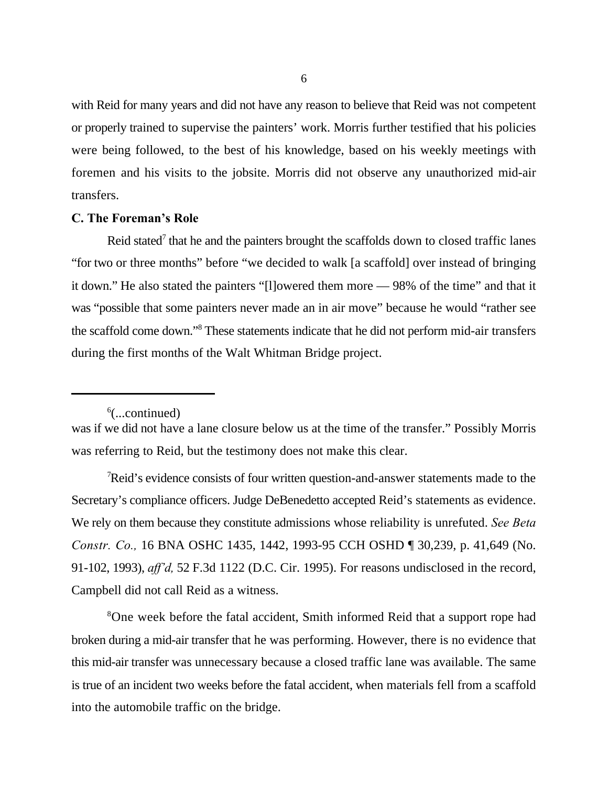with Reid for many years and did not have any reason to believe that Reid was not competent or properly trained to supervise the painters' work. Morris further testified that his policies were being followed, to the best of his knowledge, based on his weekly meetings with foremen and his visits to the jobsite. Morris did not observe any unauthorized mid-air transfers.

# **C. The Foreman's Role**

Reid stated<sup>7</sup> that he and the painters brought the scaffolds down to closed traffic lanes "for two or three months" before "we decided to walk [a scaffold] over instead of bringing it down." He also stated the painters "[l]owered them more — 98% of the time" and that it was "possible that some painters never made an in air move" because he would "rather see the scaffold come down."<sup>8</sup> These statements indicate that he did not perform mid-air transfers during the first months of the Walt Whitman Bridge project.

Reid's evidence consists of four written question-and-answer statements made to the Secretary's compliance officers. Judge DeBenedetto accepted Reid's statements as evidence. We rely on them because they constitute admissions whose reliability is unrefuted. *See Beta Constr. Co.,* 16 BNA OSHC 1435, 1442, 1993-95 CCH OSHD ¶ 30,239, p. 41,649 (No. 91-102, 1993), *aff'd,* 52 F.3d 1122 (D.C. Cir. 1995). For reasons undisclosed in the record, Campbell did not call Reid as a witness.

<sup>8</sup>One week before the fatal accident, Smith informed Reid that a support rope had broken during a mid-air transfer that he was performing. However, there is no evidence that this mid-air transfer was unnecessary because a closed traffic lane was available. The same is true of an incident two weeks before the fatal accident, when materials fell from a scaffold into the automobile traffic on the bridge.

 $\delta$ (...continued)

was if we did not have a lane closure below us at the time of the transfer." Possibly Morris was referring to Reid, but the testimony does not make this clear.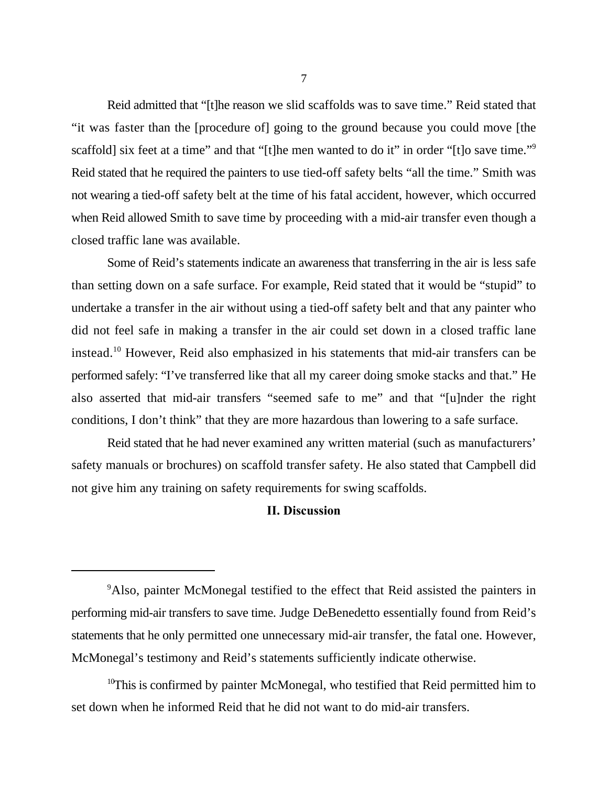Reid admitted that "[t]he reason we slid scaffolds was to save time." Reid stated that "it was faster than the [procedure of] going to the ground because you could move [the scaffold] six feet at a time" and that "[t]he men wanted to do it" in order "[t]o save time."<sup>9</sup> Reid stated that he required the painters to use tied-off safety belts "all the time." Smith was not wearing a tied-off safety belt at the time of his fatal accident, however, which occurred when Reid allowed Smith to save time by proceeding with a mid-air transfer even though a closed traffic lane was available.

Some of Reid's statements indicate an awareness that transferring in the air is less safe than setting down on a safe surface. For example, Reid stated that it would be "stupid" to undertake a transfer in the air without using a tied-off safety belt and that any painter who did not feel safe in making a transfer in the air could set down in a closed traffic lane instead.<sup>10</sup> However, Reid also emphasized in his statements that mid-air transfers can be performed safely: "I've transferred like that all my career doing smoke stacks and that." He also asserted that mid-air transfers "seemed safe to me" and that "[u]nder the right conditions, I don't think" that they are more hazardous than lowering to a safe surface.

Reid stated that he had never examined any written material (such as manufacturers' safety manuals or brochures) on scaffold transfer safety. He also stated that Campbell did not give him any training on safety requirements for swing scaffolds.

# **II. Discussion**

<sup>&</sup>lt;sup>9</sup>Also, painter McMonegal testified to the effect that Reid assisted the painters in performing mid-air transfers to save time. Judge DeBenedetto essentially found from Reid's statements that he only permitted one unnecessary mid-air transfer, the fatal one. However, McMonegal's testimony and Reid's statements sufficiently indicate otherwise.

 $10$ This is confirmed by painter McMonegal, who testified that Reid permitted him to set down when he informed Reid that he did not want to do mid-air transfers.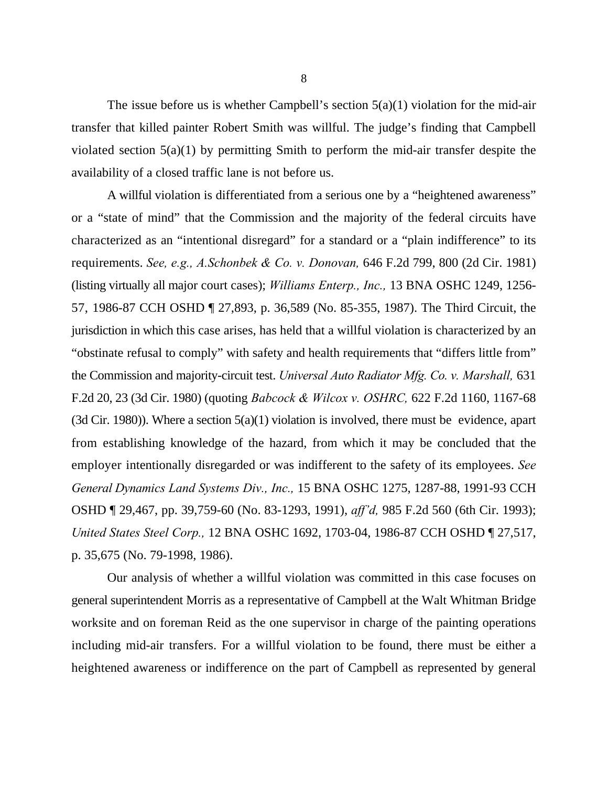The issue before us is whether Campbell's section  $5(a)(1)$  violation for the mid-air transfer that killed painter Robert Smith was willful. The judge's finding that Campbell violated section 5(a)(1) by permitting Smith to perform the mid-air transfer despite the availability of a closed traffic lane is not before us.

A willful violation is differentiated from a serious one by a "heightened awareness" or a "state of mind" that the Commission and the majority of the federal circuits have characterized as an "intentional disregard" for a standard or a "plain indifference" to its requirements. *See, e.g., A.Schonbek & Co. v. Donovan,* 646 F.2d 799, 800 (2d Cir. 1981) (listing virtually all major court cases); *Williams Enterp., Inc.,* 13 BNA OSHC 1249, 1256- 57, 1986-87 CCH OSHD ¶ 27,893, p. 36,589 (No. 85-355, 1987). The Third Circuit, the jurisdiction in which this case arises, has held that a willful violation is characterized by an "obstinate refusal to comply" with safety and health requirements that "differs little from" the Commission and majority-circuit test. *Universal Auto Radiator Mfg. Co. v. Marshall,* 631 F.2d 20, 23 (3d Cir. 1980) (quoting *Babcock & Wilcox v. OSHRC,* 622 F.2d 1160, 1167-68 (3d Cir. 1980)). Where a section  $5(a)(1)$  violation is involved, there must be evidence, apart from establishing knowledge of the hazard, from which it may be concluded that the employer intentionally disregarded or was indifferent to the safety of its employees. *See General Dynamics Land Systems Div., Inc.,* 15 BNA OSHC 1275, 1287-88, 1991-93 CCH OSHD ¶ 29,467, pp. 39,759-60 (No. 83-1293, 1991), *aff'd,* 985 F.2d 560 (6th Cir. 1993); *United States Steel Corp.,* 12 BNA OSHC 1692, 1703-04, 1986-87 CCH OSHD ¶ 27,517, p. 35,675 (No. 79-1998, 1986).

Our analysis of whether a willful violation was committed in this case focuses on general superintendent Morris as a representative of Campbell at the Walt Whitman Bridge worksite and on foreman Reid as the one supervisor in charge of the painting operations including mid-air transfers. For a willful violation to be found, there must be either a heightened awareness or indifference on the part of Campbell as represented by general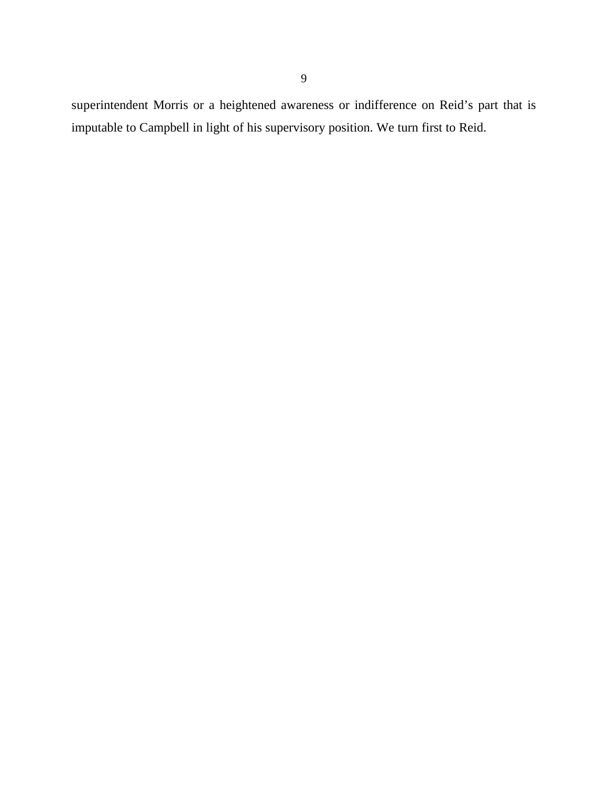superintendent Morris or a heightened awareness or indifference on Reid's part that is imputable to Campbell in light of his supervisory position. We turn first to Reid.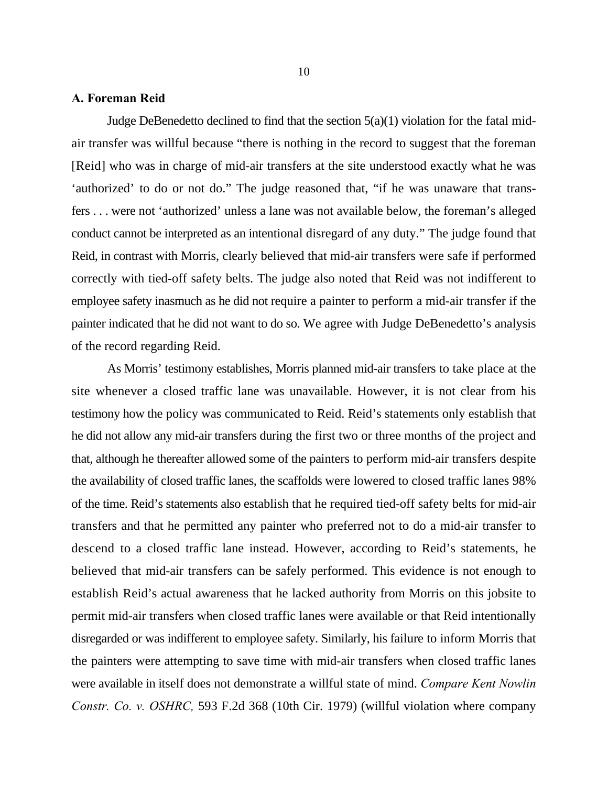# **A. Foreman Reid**

Judge DeBenedetto declined to find that the section  $5(a)(1)$  violation for the fatal midair transfer was willful because "there is nothing in the record to suggest that the foreman [Reid] who was in charge of mid-air transfers at the site understood exactly what he was 'authorized' to do or not do." The judge reasoned that, "if he was unaware that transfers . . . were not 'authorized' unless a lane was not available below, the foreman's alleged conduct cannot be interpreted as an intentional disregard of any duty." The judge found that Reid, in contrast with Morris, clearly believed that mid-air transfers were safe if performed correctly with tied-off safety belts. The judge also noted that Reid was not indifferent to employee safety inasmuch as he did not require a painter to perform a mid-air transfer if the painter indicated that he did not want to do so. We agree with Judge DeBenedetto's analysis of the record regarding Reid.

As Morris' testimony establishes, Morris planned mid-air transfers to take place at the site whenever a closed traffic lane was unavailable. However, it is not clear from his testimony how the policy was communicated to Reid. Reid's statements only establish that he did not allow any mid-air transfers during the first two or three months of the project and that, although he thereafter allowed some of the painters to perform mid-air transfers despite the availability of closed traffic lanes, the scaffolds were lowered to closed traffic lanes 98% of the time. Reid's statements also establish that he required tied-off safety belts for mid-air transfers and that he permitted any painter who preferred not to do a mid-air transfer to descend to a closed traffic lane instead. However, according to Reid's statements, he believed that mid-air transfers can be safely performed. This evidence is not enough to establish Reid's actual awareness that he lacked authority from Morris on this jobsite to permit mid-air transfers when closed traffic lanes were available or that Reid intentionally disregarded or was indifferent to employee safety. Similarly, his failure to inform Morris that the painters were attempting to save time with mid-air transfers when closed traffic lanes were available in itself does not demonstrate a willful state of mind. *Compare Kent Nowlin Constr. Co. v. OSHRC,* 593 F.2d 368 (10th Cir. 1979) (willful violation where company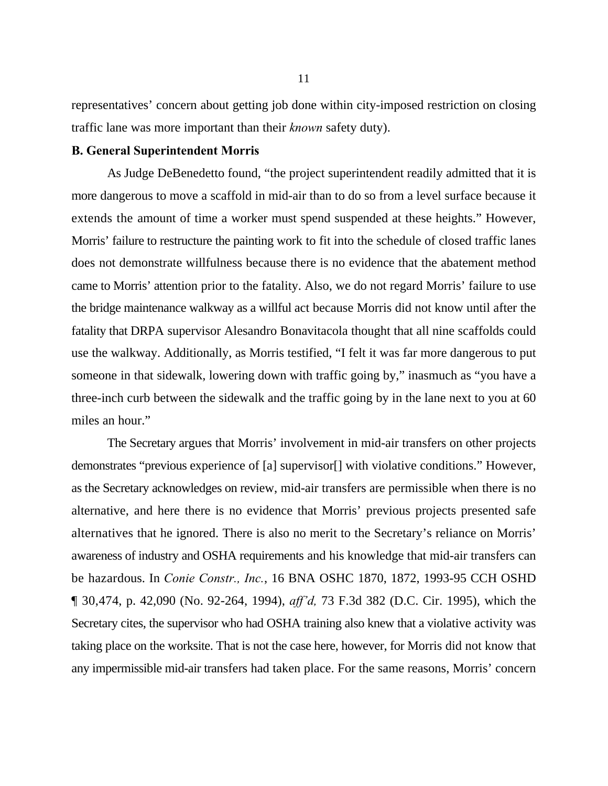representatives' concern about getting job done within city-imposed restriction on closing traffic lane was more important than their *known* safety duty).

# **B. General Superintendent Morris**

As Judge DeBenedetto found, "the project superintendent readily admitted that it is more dangerous to move a scaffold in mid-air than to do so from a level surface because it extends the amount of time a worker must spend suspended at these heights." However, Morris' failure to restructure the painting work to fit into the schedule of closed traffic lanes does not demonstrate willfulness because there is no evidence that the abatement method came to Morris' attention prior to the fatality. Also, we do not regard Morris' failure to use the bridge maintenance walkway as a willful act because Morris did not know until after the fatality that DRPA supervisor Alesandro Bonavitacola thought that all nine scaffolds could use the walkway. Additionally, as Morris testified, "I felt it was far more dangerous to put someone in that sidewalk, lowering down with traffic going by," inasmuch as "you have a three-inch curb between the sidewalk and the traffic going by in the lane next to you at 60 miles an hour."

The Secretary argues that Morris' involvement in mid-air transfers on other projects demonstrates "previous experience of [a] supervisor[] with violative conditions." However, as the Secretary acknowledges on review, mid-air transfers are permissible when there is no alternative, and here there is no evidence that Morris' previous projects presented safe alternatives that he ignored. There is also no merit to the Secretary's reliance on Morris' awareness of industry and OSHA requirements and his knowledge that mid-air transfers can be hazardous. In *Conie Constr., Inc.*, 16 BNA OSHC 1870, 1872, 1993-95 CCH OSHD ¶ 30,474, p. 42,090 (No. 92-264, 1994), *aff'd,* 73 F.3d 382 (D.C. Cir. 1995), which the Secretary cites, the supervisor who had OSHA training also knew that a violative activity was taking place on the worksite. That is not the case here, however, for Morris did not know that any impermissible mid-air transfers had taken place. For the same reasons, Morris' concern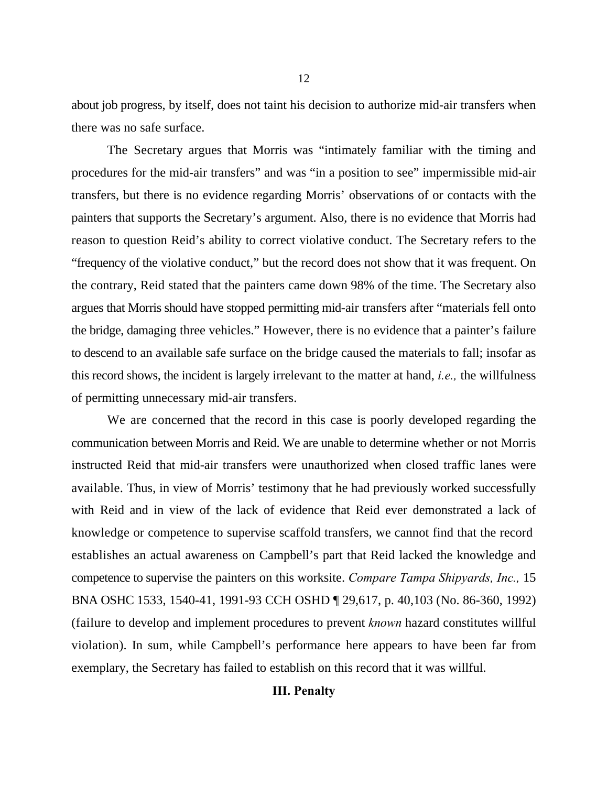about job progress, by itself, does not taint his decision to authorize mid-air transfers when there was no safe surface.

The Secretary argues that Morris was "intimately familiar with the timing and procedures for the mid-air transfers" and was "in a position to see" impermissible mid-air transfers, but there is no evidence regarding Morris' observations of or contacts with the painters that supports the Secretary's argument. Also, there is no evidence that Morris had reason to question Reid's ability to correct violative conduct. The Secretary refers to the "frequency of the violative conduct," but the record does not show that it was frequent. On the contrary, Reid stated that the painters came down 98% of the time. The Secretary also argues that Morris should have stopped permitting mid-air transfers after "materials fell onto the bridge, damaging three vehicles." However, there is no evidence that a painter's failure to descend to an available safe surface on the bridge caused the materials to fall; insofar as this record shows, the incident is largely irrelevant to the matter at hand, *i.e.,* the willfulness of permitting unnecessary mid-air transfers.

We are concerned that the record in this case is poorly developed regarding the communication between Morris and Reid. We are unable to determine whether or not Morris instructed Reid that mid-air transfers were unauthorized when closed traffic lanes were available. Thus, in view of Morris' testimony that he had previously worked successfully with Reid and in view of the lack of evidence that Reid ever demonstrated a lack of knowledge or competence to supervise scaffold transfers, we cannot find that the record establishes an actual awareness on Campbell's part that Reid lacked the knowledge and competence to supervise the painters on this worksite. *Compare Tampa Shipyards, Inc.,* 15 BNA OSHC 1533, 1540-41, 1991-93 CCH OSHD ¶ 29,617, p. 40,103 (No. 86-360, 1992) (failure to develop and implement procedures to prevent *known* hazard constitutes willful violation). In sum, while Campbell's performance here appears to have been far from exemplary, the Secretary has failed to establish on this record that it was willful.

# **III. Penalty**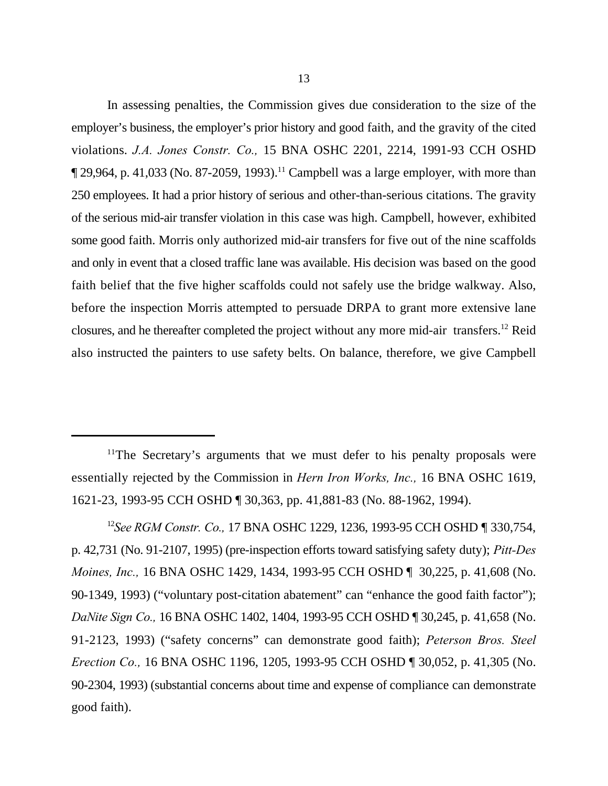In assessing penalties, the Commission gives due consideration to the size of the employer's business, the employer's prior history and good faith, and the gravity of the cited violations. *J.A. Jones Constr. Co.,* 15 BNA OSHC 2201, 2214, 1991-93 CCH OSHD  $\P$  29,964, p. 41,033 (No. 87-2059, 1993).<sup>11</sup> Campbell was a large employer, with more than 250 employees. It had a prior history of serious and other-than-serious citations. The gravity of the serious mid-air transfer violation in this case was high. Campbell, however, exhibited some good faith. Morris only authorized mid-air transfers for five out of the nine scaffolds and only in event that a closed traffic lane was available. His decision was based on the good faith belief that the five higher scaffolds could not safely use the bridge walkway. Also, before the inspection Morris attempted to persuade DRPA to grant more extensive lane closures, and he thereafter completed the project without any more mid-air transfers.<sup>12</sup> Reid also instructed the painters to use safety belts. On balance, therefore, we give Campbell

 $11$ The Secretary's arguments that we must defer to his penalty proposals were essentially rejected by the Commission in *Hern Iron Works, Inc.,* 16 BNA OSHC 1619, 1621-23, 1993-95 CCH OSHD ¶ 30,363, pp. 41,881-83 (No. 88-1962, 1994).

*See RGM Constr. Co.,* 17 BNA OSHC 1229, 1236, 1993-95 CCH OSHD ¶ 330,754, <sup>12</sup> p. 42,731 (No. 91-2107, 1995) (pre-inspection efforts toward satisfying safety duty); *Pitt-Des Moines, Inc.,* 16 BNA OSHC 1429, 1434, 1993-95 CCH OSHD 1 30,225, p. 41,608 (No. 90-1349, 1993) ("voluntary post-citation abatement" can "enhance the good faith factor"); *DaNite Sign Co.,* 16 BNA OSHC 1402, 1404, 1993-95 CCH OSHD ¶ 30,245, p. 41,658 (No. 91-2123, 1993) ("safety concerns" can demonstrate good faith); *Peterson Bros. Steel Erection Co.,* 16 BNA OSHC 1196, 1205, 1993-95 CCH OSHD ¶ 30,052, p. 41,305 (No. 90-2304, 1993) (substantial concerns about time and expense of compliance can demonstrate good faith).